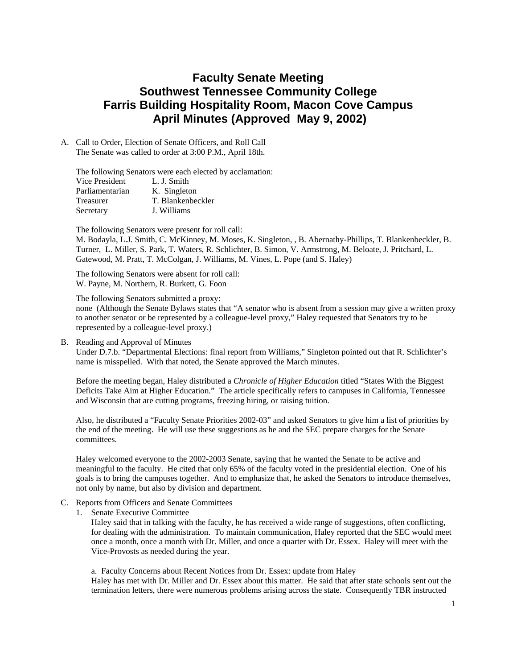# **Faculty Senate Meeting Southwest Tennessee Community College Farris Building Hospitality Room, Macon Cove Campus April Minutes (Approved May 9, 2002)**

A. Call to Order, Election of Senate Officers, and Roll Call The Senate was called to order at 3:00 P.M., April 18th.

The following Senators were each elected by acclamation:

| Vice President  | L. J. Smith       |
|-----------------|-------------------|
| Parliamentarian | K. Singleton      |
| Treasurer       | T. Blankenbeckler |
| Secretary       | J. Williams       |

The following Senators were present for roll call:

M. Bodayla, L.J. Smith, C. McKinney, M. Moses, K. Singleton, , B. Abernathy-Phillips, T. Blankenbeckler, B. Turner, L. Miller, S. Park, T. Waters, R. Schlichter, B. Simon, V. Armstrong, M. Beloate, J. Pritchard, L. Gatewood, M. Pratt, T. McColgan, J. Williams, M. Vines, L. Pope (and S. Haley)

The following Senators were absent for roll call: W. Payne, M. Northern, R. Burkett, G. Foon

The following Senators submitted a proxy:

none (Although the Senate Bylaws states that "A senator who is absent from a session may give a written proxy to another senator or be represented by a colleague-level proxy," Haley requested that Senators try to be represented by a colleague-level proxy.)

B. Reading and Approval of Minutes

Under D.7.b. "Departmental Elections: final report from Williams," Singleton pointed out that R. Schlichter's name is misspelled. With that noted, the Senate approved the March minutes.

Before the meeting began, Haley distributed a *Chronicle of Higher Education* titled "States With the Biggest Deficits Take Aim at Higher Education." The article specifically refers to campuses in California, Tennessee and Wisconsin that are cutting programs, freezing hiring, or raising tuition.

Also, he distributed a "Faculty Senate Priorities 2002-03" and asked Senators to give him a list of priorities by the end of the meeting. He will use these suggestions as he and the SEC prepare charges for the Senate committees.

Haley welcomed everyone to the 2002-2003 Senate, saying that he wanted the Senate to be active and meaningful to the faculty. He cited that only 65% of the faculty voted in the presidential election. One of his goals is to bring the campuses together. And to emphasize that, he asked the Senators to introduce themselves, not only by name, but also by division and department.

- C. Reports from Officers and Senate Committees
	- 1. Senate Executive Committee

Haley said that in talking with the faculty, he has received a wide range of suggestions, often conflicting, for dealing with the administration. To maintain communication, Haley reported that the SEC would meet once a month, once a month with Dr. Miller, and once a quarter with Dr. Essex. Haley will meet with the Vice-Provosts as needed during the year.

a. Faculty Concerns about Recent Notices from Dr. Essex: update from Haley Haley has met with Dr. Miller and Dr. Essex about this matter. He said that after state schools sent out the termination letters, there were numerous problems arising across the state. Consequently TBR instructed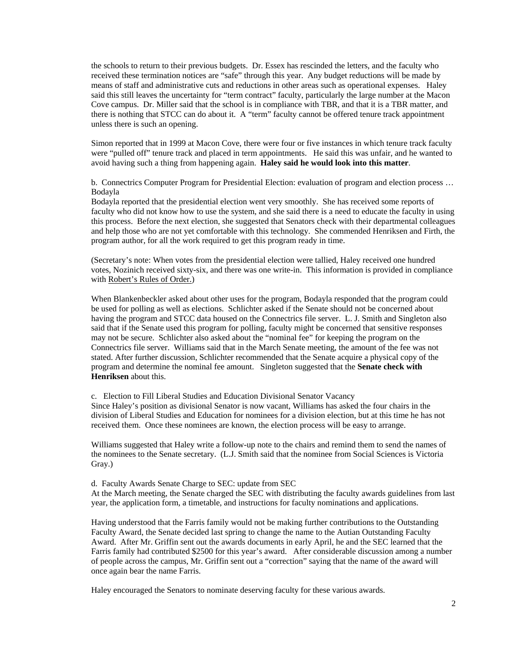the schools to return to their previous budgets. Dr. Essex has rescinded the letters, and the faculty who received these termination notices are "safe" through this year. Any budget reductions will be made by means of staff and administrative cuts and reductions in other areas such as operational expenses. Haley said this still leaves the uncertainty for "term contract" faculty, particularly the large number at the Macon Cove campus. Dr. Miller said that the school is in compliance with TBR, and that it is a TBR matter, and there is nothing that STCC can do about it. A "term" faculty cannot be offered tenure track appointment unless there is such an opening.

Simon reported that in 1999 at Macon Cove, there were four or five instances in which tenure track faculty were "pulled off" tenure track and placed in term appointments. He said this was unfair, and he wanted to avoid having such a thing from happening again. **Haley said he would look into this matter**.

b. Connectrics Computer Program for Presidential Election: evaluation of program and election process … Bodayla

Bodayla reported that the presidential election went very smoothly. She has received some reports of faculty who did not know how to use the system, and she said there is a need to educate the faculty in using this process. Before the next election, she suggested that Senators check with their departmental colleagues and help those who are not yet comfortable with this technology. She commended Henriksen and Firth, the program author, for all the work required to get this program ready in time.

(Secretary's note: When votes from the presidential election were tallied, Haley received one hundred votes, Nozinich received sixty-six, and there was one write-in. This information is provided in compliance with Robert's Rules of Order.)

When Blankenbeckler asked about other uses for the program, Bodayla responded that the program could be used for polling as well as elections. Schlichter asked if the Senate should not be concerned about having the program and STCC data housed on the Connectrics file server. L. J. Smith and Singleton also said that if the Senate used this program for polling, faculty might be concerned that sensitive responses may not be secure. Schlichter also asked about the "nominal fee" for keeping the program on the Connectrics file server. Williams said that in the March Senate meeting, the amount of the fee was not stated. After further discussion, Schlichter recommended that the Senate acquire a physical copy of the program and determine the nominal fee amount. Singleton suggested that the **Senate check with Henriksen** about this.

c. Election to Fill Liberal Studies and Education Divisional Senator Vacancy

Since Haley's position as divisional Senator is now vacant, Williams has asked the four chairs in the division of Liberal Studies and Education for nominees for a division election, but at this time he has not received them. Once these nominees are known, the election process will be easy to arrange.

Williams suggested that Haley write a follow-up note to the chairs and remind them to send the names of the nominees to the Senate secretary. (L.J. Smith said that the nominee from Social Sciences is Victoria Gray.)

d. Faculty Awards Senate Charge to SEC: update from SEC

At the March meeting, the Senate charged the SEC with distributing the faculty awards guidelines from last year, the application form, a timetable, and instructions for faculty nominations and applications.

Having understood that the Farris family would not be making further contributions to the Outstanding Faculty Award, the Senate decided last spring to change the name to the Autian Outstanding Faculty Award. After Mr. Griffin sent out the awards documents in early April, he and the SEC learned that the Farris family had contributed \$2500 for this year's award. After considerable discussion among a number of people across the campus, Mr. Griffin sent out a "correction" saying that the name of the award will once again bear the name Farris.

Haley encouraged the Senators to nominate deserving faculty for these various awards.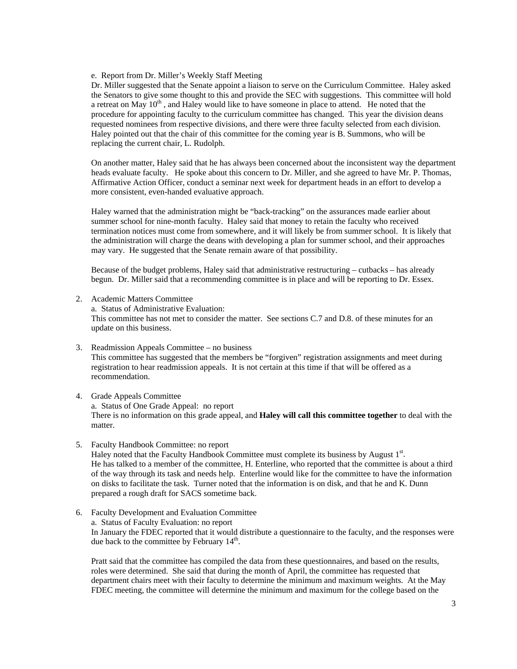e. Report from Dr. Miller's Weekly Staff Meeting

Dr. Miller suggested that the Senate appoint a liaison to serve on the Curriculum Committee. Haley asked the Senators to give some thought to this and provide the SEC with suggestions. This committee will hold a retreat on May  $10<sup>th</sup>$ , and Haley would like to have someone in place to attend. He noted that the procedure for appointing faculty to the curriculum committee has changed. This year the division deans requested nominees from respective divisions, and there were three faculty selected from each division. Haley pointed out that the chair of this committee for the coming year is B. Summons, who will be replacing the current chair, L. Rudolph.

On another matter, Haley said that he has always been concerned about the inconsistent way the department heads evaluate faculty. He spoke about this concern to Dr. Miller, and she agreed to have Mr. P. Thomas, Affirmative Action Officer, conduct a seminar next week for department heads in an effort to develop a more consistent, even-handed evaluative approach.

Haley warned that the administration might be "back-tracking" on the assurances made earlier about summer school for nine-month faculty. Haley said that money to retain the faculty who received termination notices must come from somewhere, and it will likely be from summer school. It is likely that the administration will charge the deans with developing a plan for summer school, and their approaches may vary. He suggested that the Senate remain aware of that possibility.

Because of the budget problems, Haley said that administrative restructuring – cutbacks – has already begun. Dr. Miller said that a recommending committee is in place and will be reporting to Dr. Essex.

2. Academic Matters Committee

a. Status of Administrative Evaluation:

This committee has not met to consider the matter. See sections C.7 and D.8. of these minutes for an update on this business.

- 3. Readmission Appeals Committee no business This committee has suggested that the members be "forgiven" registration assignments and meet during registration to hear readmission appeals. It is not certain at this time if that will be offered as a recommendation.
- 4. Grade Appeals Committee

a. Status of One Grade Appeal: no report There is no information on this grade appeal, and **Haley will call this committee together** to deal with the matter.

5. Faculty Handbook Committee: no report

Haley noted that the Faculty Handbook Committee must complete its business by August  $1<sup>st</sup>$ . He has talked to a member of the committee, H. Enterline, who reported that the committee is about a third of the way through its task and needs help. Enterline would like for the committee to have the information on disks to facilitate the task. Turner noted that the information is on disk, and that he and K. Dunn prepared a rough draft for SACS sometime back.

6. Faculty Development and Evaluation Committee a. Status of Faculty Evaluation: no report In January the FDEC reported that it would distribute a questionnaire to the faculty, and the responses were due back to the committee by February  $14<sup>th</sup>$ .

Pratt said that the committee has compiled the data from these questionnaires, and based on the results, roles were determined. She said that during the month of April, the committee has requested that department chairs meet with their faculty to determine the minimum and maximum weights. At the May FDEC meeting, the committee will determine the minimum and maximum for the college based on the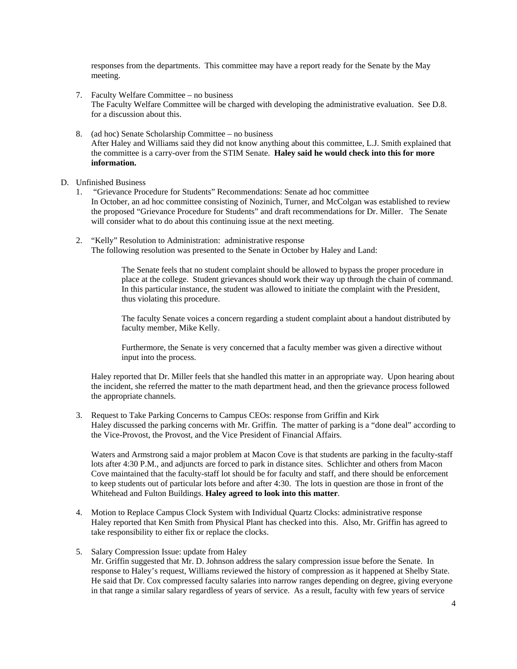responses from the departments. This committee may have a report ready for the Senate by the May meeting.

- 7. Faculty Welfare Committee no business The Faculty Welfare Committee will be charged with developing the administrative evaluation. See D.8. for a discussion about this.
- 8. (ad hoc) Senate Scholarship Committee no business After Haley and Williams said they did not know anything about this committee, L.J. Smith explained that the committee is a carry-over from the STIM Senate. **Haley said he would check into this for more information.**

#### D. Unfinished Business

- 1. "Grievance Procedure for Students" Recommendations: Senate ad hoc committee In October, an ad hoc committee consisting of Nozinich, Turner, and McColgan was established to review the proposed "Grievance Procedure for Students" and draft recommendations for Dr. Miller. The Senate will consider what to do about this continuing issue at the next meeting.
- 2. "Kelly" Resolution to Administration: administrative response The following resolution was presented to the Senate in October by Haley and Land:

The Senate feels that no student complaint should be allowed to bypass the proper procedure in place at the college. Student grievances should work their way up through the chain of command. In this particular instance, the student was allowed to initiate the complaint with the President, thus violating this procedure.

The faculty Senate voices a concern regarding a student complaint about a handout distributed by faculty member, Mike Kelly.

Furthermore, the Senate is very concerned that a faculty member was given a directive without input into the process.

Haley reported that Dr. Miller feels that she handled this matter in an appropriate way. Upon hearing about the incident, she referred the matter to the math department head, and then the grievance process followed the appropriate channels.

3. Request to Take Parking Concerns to Campus CEOs: response from Griffin and Kirk Haley discussed the parking concerns with Mr. Griffin. The matter of parking is a "done deal" according to the Vice-Provost, the Provost, and the Vice President of Financial Affairs.

Waters and Armstrong said a major problem at Macon Cove is that students are parking in the faculty-staff lots after 4:30 P.M., and adjuncts are forced to park in distance sites. Schlichter and others from Macon Cove maintained that the faculty-staff lot should be for faculty and staff, and there should be enforcement to keep students out of particular lots before and after 4:30. The lots in question are those in front of the Whitehead and Fulton Buildings. **Haley agreed to look into this matter**.

4. Motion to Replace Campus Clock System with Individual Quartz Clocks: administrative response Haley reported that Ken Smith from Physical Plant has checked into this. Also, Mr. Griffin has agreed to take responsibility to either fix or replace the clocks.

#### 5. Salary Compression Issue: update from Haley

Mr. Griffin suggested that Mr. D. Johnson address the salary compression issue before the Senate. In response to Haley's request, Williams reviewed the history of compression as it happened at Shelby State. He said that Dr. Cox compressed faculty salaries into narrow ranges depending on degree, giving everyone in that range a similar salary regardless of years of service. As a result, faculty with few years of service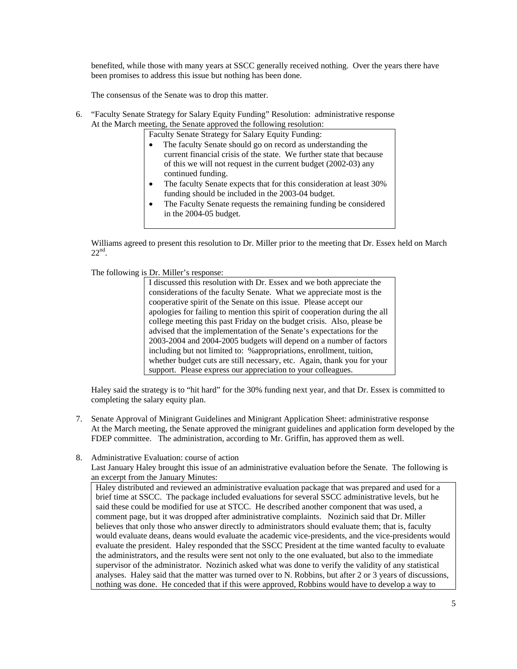benefited, while those with many years at SSCC generally received nothing. Over the years there have been promises to address this issue but nothing has been done.

The consensus of the Senate was to drop this matter.

6. "Faculty Senate Strategy for Salary Equity Funding" Resolution: administrative response At the March meeting, the Senate approved the following resolution:

Faculty Senate Strategy for Salary Equity Funding:

- The faculty Senate should go on record as understanding the current financial crisis of the state. We further state that because of this we will not request in the current budget (2002-03) any continued funding.
- The faculty Senate expects that for this consideration at least 30% funding should be included in the 2003-04 budget.
- The Faculty Senate requests the remaining funding be considered in the 2004-05 budget.

Williams agreed to present this resolution to Dr. Miller prior to the meeting that Dr. Essex held on March  $22<sup>nd</sup>$ .

The following is Dr. Miller's response:

I discussed this resolution with Dr. Essex and we both appreciate the considerations of the faculty Senate. What we appreciate most is the cooperative spirit of the Senate on this issue. Please accept our apologies for failing to mention this spirit of cooperation during the all college meeting this past Friday on the budget crisis. Also, please be advised that the implementation of the Senate's expectations for the 2003-2004 and 2004-2005 budgets will depend on a number of factors including but not limited to: %appropriations, enrollment, tuition, whether budget cuts are still necessary, etc. Again, thank you for your support. Please express our appreciation to your colleagues.

Haley said the strategy is to "hit hard" for the 30% funding next year, and that Dr. Essex is committed to completing the salary equity plan.

- 7. Senate Approval of Minigrant Guidelines and Minigrant Application Sheet: administrative response At the March meeting, the Senate approved the minigrant guidelines and application form developed by the FDEP committee. The administration, according to Mr. Griffin, has approved them as well.
- 8. Administrative Evaluation: course of action

Last January Haley brought this issue of an administrative evaluation before the Senate. The following is an excerpt from the January Minutes:

Haley distributed and reviewed an administrative evaluation package that was prepared and used for a brief time at SSCC. The package included evaluations for several SSCC administrative levels, but he said these could be modified for use at STCC. He described another component that was used, a comment page, but it was dropped after administrative complaints. Nozinich said that Dr. Miller believes that only those who answer directly to administrators should evaluate them; that is, faculty would evaluate deans, deans would evaluate the academic vice-presidents, and the vice-presidents would evaluate the president. Haley responded that the SSCC President at the time wanted faculty to evaluate the administrators, and the results were sent not only to the one evaluated, but also to the immediate supervisor of the administrator. Nozinich asked what was done to verify the validity of any statistical analyses. Haley said that the matter was turned over to N. Robbins, but after 2 or 3 years of discussions, nothing was done. He conceded that if this were approved, Robbins would have to develop a way to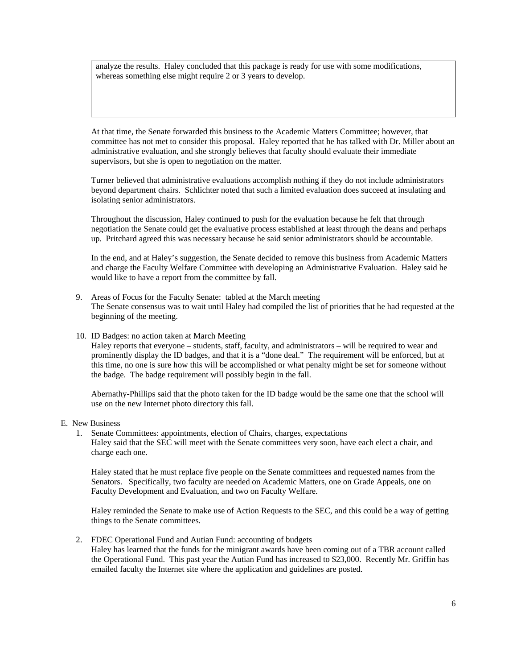analyze the results. Haley concluded that this package is ready for use with some modifications, whereas something else might require 2 or 3 years to develop.

At that time, the Senate forwarded this business to the Academic Matters Committee; however, that committee has not met to consider this proposal. Haley reported that he has talked with Dr. Miller about an administrative evaluation, and she strongly believes that faculty should evaluate their immediate supervisors, but she is open to negotiation on the matter.

Turner believed that administrative evaluations accomplish nothing if they do not include administrators beyond department chairs. Schlichter noted that such a limited evaluation does succeed at insulating and isolating senior administrators.

Throughout the discussion, Haley continued to push for the evaluation because he felt that through negotiation the Senate could get the evaluative process established at least through the deans and perhaps up. Pritchard agreed this was necessary because he said senior administrators should be accountable.

In the end, and at Haley's suggestion, the Senate decided to remove this business from Academic Matters and charge the Faculty Welfare Committee with developing an Administrative Evaluation. Haley said he would like to have a report from the committee by fall.

- 9. Areas of Focus for the Faculty Senate: tabled at the March meeting The Senate consensus was to wait until Haley had compiled the list of priorities that he had requested at the beginning of the meeting.
- 10. ID Badges: no action taken at March Meeting

Haley reports that everyone – students, staff, faculty, and administrators – will be required to wear and prominently display the ID badges, and that it is a "done deal." The requirement will be enforced, but at this time, no one is sure how this will be accomplished or what penalty might be set for someone without the badge. The badge requirement will possibly begin in the fall.

Abernathy-Phillips said that the photo taken for the ID badge would be the same one that the school will use on the new Internet photo directory this fall.

- E. New Business
	- 1. Senate Committees: appointments, election of Chairs, charges, expectations Haley said that the SEC will meet with the Senate committees very soon, have each elect a chair, and charge each one.

Haley stated that he must replace five people on the Senate committees and requested names from the Senators. Specifically, two faculty are needed on Academic Matters, one on Grade Appeals, one on Faculty Development and Evaluation, and two on Faculty Welfare.

Haley reminded the Senate to make use of Action Requests to the SEC, and this could be a way of getting things to the Senate committees.

2. FDEC Operational Fund and Autian Fund: accounting of budgets Haley has learned that the funds for the minigrant awards have been coming out of a TBR account called the Operational Fund. This past year the Autian Fund has increased to \$23,000. Recently Mr. Griffin has emailed faculty the Internet site where the application and guidelines are posted.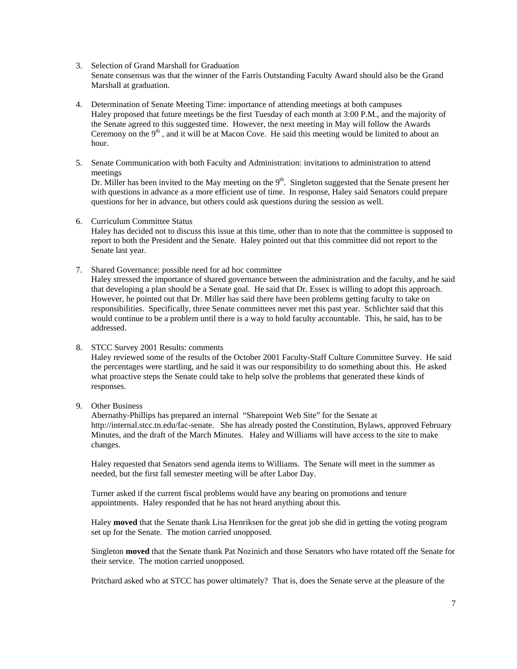#### 3. Selection of Grand Marshall for Graduation

Senate consensus was that the winner of the Farris Outstanding Faculty Award should also be the Grand Marshall at graduation.

- 4. Determination of Senate Meeting Time: importance of attending meetings at both campuses Haley proposed that future meetings be the first Tuesday of each month at 3:00 P.M., and the majority of the Senate agreed to this suggested time. However, the next meeting in May will follow the Awards Ceremony on the  $9<sup>th</sup>$ , and it will be at Macon Cove. He said this meeting would be limited to about an hour.
- 5. Senate Communication with both Faculty and Administration: invitations to administration to attend meetings

Dr. Miller has been invited to the May meeting on the  $9<sup>th</sup>$ . Singleton suggested that the Senate present her with questions in advance as a more efficient use of time. In response, Haley said Senators could prepare questions for her in advance, but others could ask questions during the session as well.

6. Curriculum Committee Status

Haley has decided not to discuss this issue at this time, other than to note that the committee is supposed to report to both the President and the Senate. Haley pointed out that this committee did not report to the Senate last year.

7. Shared Governance: possible need for ad hoc committee

Haley stressed the importance of shared governance between the administration and the faculty, and he said that developing a plan should be a Senate goal. He said that Dr. Essex is willing to adopt this approach. However, he pointed out that Dr. Miller has said there have been problems getting faculty to take on responsibilities. Specifically, three Senate committees never met this past year. Schlichter said that this would continue to be a problem until there is a way to hold faculty accountable. This, he said, has to be addressed.

8. STCC Survey 2001 Results: comments

Haley reviewed some of the results of the October 2001 Faculty-Staff Culture Committee Survey. He said the percentages were startling, and he said it was our responsibility to do something about this. He asked what proactive steps the Senate could take to help solve the problems that generated these kinds of responses.

9. Other Business

Abernathy-Phillips has prepared an internal "Sharepoint Web Site" for the Senate at http://internal.stcc.tn.edu/fac-senate. She has already posted the Constitution, Bylaws, approved February Minutes, and the draft of the March Minutes. Haley and Williams will have access to the site to make changes.

Haley requested that Senators send agenda items to Williams. The Senate will meet in the summer as needed, but the first fall semester meeting will be after Labor Day.

Turner asked if the current fiscal problems would have any bearing on promotions and tenure appointments. Haley responded that he has not heard anything about this.

Haley **moved** that the Senate thank Lisa Henriksen for the great job she did in getting the voting program set up for the Senate. The motion carried unopposed.

Singleton **moved** that the Senate thank Pat Nozinich and those Senators who have rotated off the Senate for their service. The motion carried unopposed.

Pritchard asked who at STCC has power ultimately? That is, does the Senate serve at the pleasure of the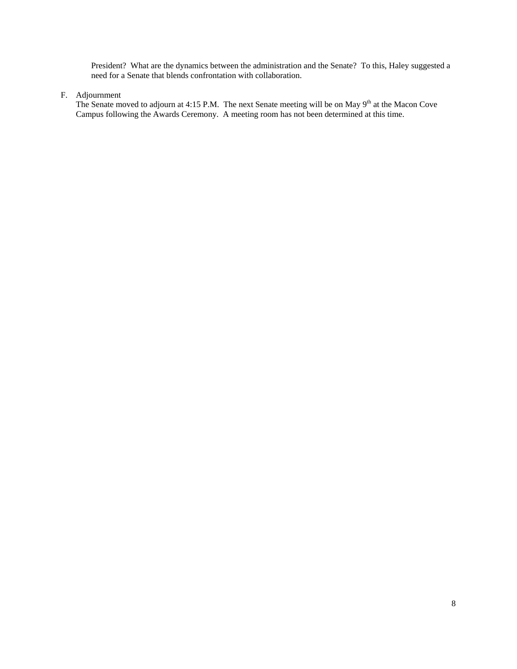President? What are the dynamics between the administration and the Senate? To this, Haley suggested a need for a Senate that blends confrontation with collaboration.

### F. Adjournment

The Senate moved to adjourn at 4:15 P.M. The next Senate meeting will be on May  $9<sup>th</sup>$  at the Macon Cove Campus following the Awards Ceremony. A meeting room has not been determined at this time.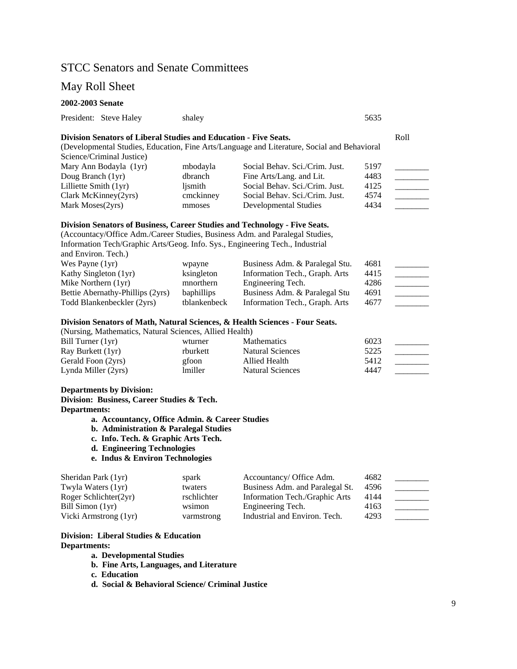# STCC Senators and Senate Committees

#### May Roll Sheet

## **2002-2003 Senate** President: Steve Haley shaley shaley 5635 **Division Senators of Liberal Studies and Education - Five Seats.** Roll (Developmental Studies, Education, Fine Arts/Language and Literature, Social and Behavioral Science/Criminal Justice) Mary Ann Bodayla (1yr) mbodayla Social Behav. Sci./Crim. Just. 5197 Doug Branch (1yr) dbranch Fine Arts/Lang. and Lit. 4483 Lilliette Smith (1yr) ljsmith Social Behav. Sci./Crim. Just. 4125 \_\_\_\_\_\_\_\_ Clark McKinney(2yrs) cmckinney Social Behav. Sci./Crim. Just. 4574 Mark Moses(2yrs) mmoses Developmental Studies 4434 **Division Senators of Business, Career Studies and Technology - Five Seats.**  (Accountacy/Office Adm./Career Studies, Business Adm. and Paralegal Studies, Information Tech/Graphic Arts/Geog. Info. Sys., Engineering Tech., Industrial and Environ. Tech.) Wes Payne (1yr) wpayne Business Adm. & Paralegal Stu. 4681 Kathy Singleton (1yr) ksingleton Information Tech., Graph. Arts 4415 Mike Northern (1yr) mnorthern Engineering Tech. 4286 Bettie Abernathy-Phillips (2yrs) baphillips Business Adm. & Paralegal Stu 4691 \_\_\_\_\_\_\_ Todd Blankenbeckler (2yrs) tblankenbeck Information Tech., Graph. Arts 4677 **Division Senators of Math, Natural Sciences, & Health Sciences - Four Seats.**  (Nursing, Mathematics, Natural Sciences, Allied Health)

| Bill Turner $(1yr)$ | wturner  | <b>Mathematics</b>      | 6023 |  |
|---------------------|----------|-------------------------|------|--|
| Ray Burkett (1yr)   | rburkett | Natural Sciences        | 5225 |  |
| Gerald Foon (2yrs)  | gfoon    | Allied Health           | 5412 |  |
| Lynda Miller (2yrs) | lmiller  | <b>Natural Sciences</b> | 4447 |  |

### **Departments by Division:**

**Division: Business, Career Studies & Tech.** 

**Departments:** 

- **a. Accountancy, Office Admin. & Career Studies**
- **b. Administration & Paralegal Studies**
- **c. Info. Tech. & Graphic Arts Tech.**
- **d. Engineering Technologies**
- **e. Indus & Environ Technologies**

| Sheridan Park (1yr)   | spark       | Accountancy/ Office Adm.        | 4682 |  |
|-----------------------|-------------|---------------------------------|------|--|
| Twyla Waters (1yr)    | twaters     | Business Adm. and Paralegal St. | 4596 |  |
| Roger Schlichter(2yr) | rschlichter | Information Tech./Graphic Arts  | 4144 |  |
| Bill Simon (1yr)      | wsimon      | Engineering Tech.               | 4163 |  |
| Vicki Armstrong (1yr) | varmstrong  | Industrial and Environ. Tech.   | 4293 |  |

### **Division: Liberal Studies & Education Departments:**

**a. Developmental Studies** 

- **b. Fine Arts, Languages, and Literature**
- **c. Education**
- **d. Social & Behavioral Science/ Criminal Justice**